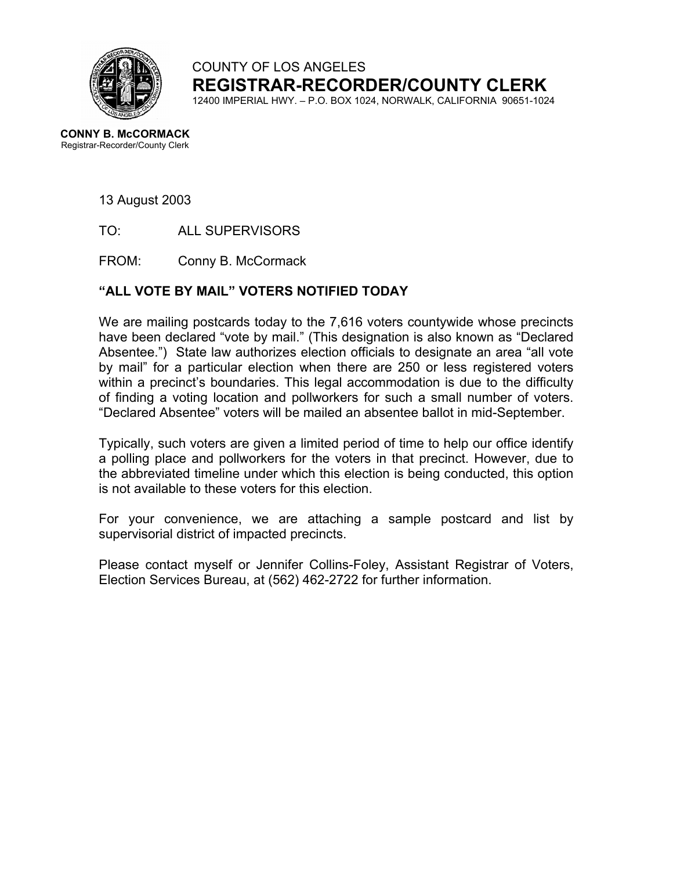

COUNTY OF LOS ANGELES **REGISTRAR-RECORDER/COUNTY CLERK**

12400 IMPERIAL HWY. – P.O. BOX 1024, NORWALK, CALIFORNIA 90651-1024

**CONNY B. McCORMACK** Registrar-Recorder/County Clerk

13 August 2003

TO: ALL SUPERVISORS

FROM: Conny B. McCormack

## **"ALL VOTE BY MAIL" VOTERS NOTIFIED TODAY**

We are mailing postcards today to the 7,616 voters countywide whose precincts have been declared "vote by mail." (This designation is also known as "Declared Absentee.") State law authorizes election officials to designate an area "all vote by mail" for a particular election when there are 250 or less registered voters within a precinct's boundaries. This legal accommodation is due to the difficulty of finding a voting location and pollworkers for such a small number of voters. "Declared Absentee" voters will be mailed an absentee ballot in mid-September.

Typically, such voters are given a limited period of time to help our office identify a polling place and pollworkers for the voters in that precinct. However, due to the abbreviated timeline under which this election is being conducted, this option is not available to these voters for this election.

For your convenience, we are attaching a sample postcard and list by supervisorial district of impacted precincts.

Please contact myself or Jennifer Collins-Foley, Assistant Registrar of Voters, Election Services Bureau, at (562) 462-2722 for further information.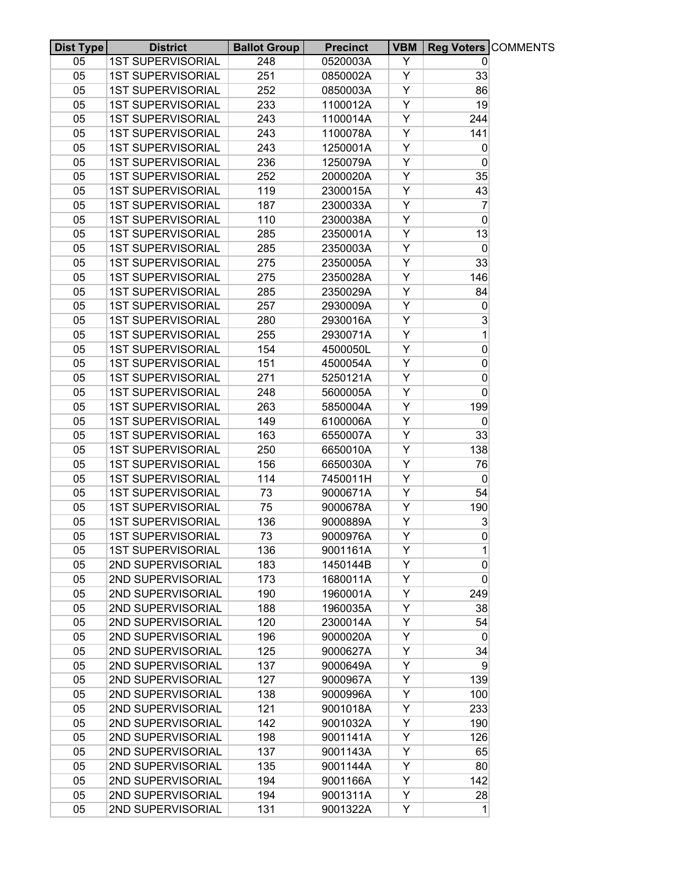| Dist Type | <b>District</b>          | <b>Ballot Group</b> | <b>Precinct</b> | <b>VBM</b> |                     | Reg Voters COMMENTS |
|-----------|--------------------------|---------------------|-----------------|------------|---------------------|---------------------|
| 05        | <b>1ST SUPERVISORIAL</b> | 248                 | 0520003A        | Y          | $\overline{0}$      |                     |
| 05        | <b>1ST SUPERVISORIAL</b> | 251                 | 0850002A        | Y          | 33                  |                     |
| 05        | <b>1ST SUPERVISORIAL</b> | 252                 | 0850003A        | Y          | 86                  |                     |
| 05        | <b>1ST SUPERVISORIAL</b> | 233                 | 1100012A        | Υ          | 19                  |                     |
| 05        | <b>1ST SUPERVISORIAL</b> | 243                 | 1100014A        | Y          | 244                 |                     |
| 05        | <b>1ST SUPERVISORIAL</b> | 243                 | 1100078A        | Υ          | 141                 |                     |
| 05        | <b>1ST SUPERVISORIAL</b> | 243                 | 1250001A        | Υ          | $\overline{0}$      |                     |
| 05        | <b>1ST SUPERVISORIAL</b> | 236                 | 1250079A        | Y          | 0                   |                     |
| 05        | <b>1ST SUPERVISORIAL</b> | 252                 | 2000020A        | Υ          | 35                  |                     |
| 05        | <b>1ST SUPERVISORIAL</b> | 119                 | 2300015A        | Y          | 43                  |                     |
| 05        | <b>1ST SUPERVISORIAL</b> | 187                 | 2300033A        | Υ          | $\overline{7}$      |                     |
| 05        | <b>1ST SUPERVISORIAL</b> | 110                 | 2300038A        | Υ          | $\mathbf 0$         |                     |
| 05        | <b>1ST SUPERVISORIAL</b> | 285                 | 2350001A        | Υ          | 13                  |                     |
| 05        | <b>1ST SUPERVISORIAL</b> | 285                 | 2350003A        | Υ          | $\overline{0}$      |                     |
| 05        | <b>1ST SUPERVISORIAL</b> | 275                 | 2350005A        | Υ          | 33                  |                     |
| 05        | <b>1ST SUPERVISORIAL</b> | 275                 | 2350028A        | Y          | 146                 |                     |
| 05        | <b>1ST SUPERVISORIAL</b> | 285                 | 2350029A        | Υ          | 84                  |                     |
| 05        | <b>1ST SUPERVISORIAL</b> | 257                 | 2930009A        | Υ          | 0                   |                     |
| 05        | <b>1ST SUPERVISORIAL</b> | 280                 | 2930016A        | Y          | 3                   |                     |
| 05        | <b>1ST SUPERVISORIAL</b> | 255                 | 2930071A        | Υ          | 1                   |                     |
| 05        | <b>1ST SUPERVISORIAL</b> | 154                 | 4500050L        | Y          | $\mathsf{O}\xspace$ |                     |
| 05        | <b>1ST SUPERVISORIAL</b> | 151                 | 4500054A        | Υ          | 0                   |                     |
| 05        | <b>1ST SUPERVISORIAL</b> | 271                 | 5250121A        | Y          | 0                   |                     |
| 05        | <b>1ST SUPERVISORIAL</b> | 248                 | 5600005A        | Y          | $\overline{0}$      |                     |
| 05        | <b>1ST SUPERVISORIAL</b> | 263                 | 5850004A        | Υ          | 199                 |                     |
| 05        | <b>1ST SUPERVISORIAL</b> | 149                 | 6100006A        | Υ          | $\mathbf 0$         |                     |
| 05        | <b>1ST SUPERVISORIAL</b> | 163                 | 6550007A        | Υ          | 33                  |                     |
| 05        | <b>1ST SUPERVISORIAL</b> | 250                 | 6650010A        | Υ          | 138                 |                     |
| 05        | <b>1ST SUPERVISORIAL</b> | 156                 | 6650030A        | Υ          | 76                  |                     |
| 05        | <b>1ST SUPERVISORIAL</b> | 114                 | 7450011H        | Y          | $\overline{0}$      |                     |
| 05        | <b>1ST SUPERVISORIAL</b> | 73                  | 9000671A        | Υ          | 54                  |                     |
| 05        | <b>1ST SUPERVISORIAL</b> | 75                  | 9000678A        | Υ          | 190                 |                     |
| 05        | <b>1ST SUPERVISORIAL</b> | 136                 | 9000889A        | Υ          | 3                   |                     |
| 05        | <b>1ST SUPERVISORIAL</b> | 73                  | 9000976A        | Y          | 0                   |                     |
| 05        | <b>1ST SUPERVISORIAL</b> | 136                 | 9001161A        | Υ          | 1                   |                     |
| 05        | 2ND SUPERVISORIAL        | 183                 | 1450144B        | Y          | 0                   |                     |
| 05        | 2ND SUPERVISORIAL        | 173                 | 1680011A        | Υ          | $\mathbf 0$         |                     |
| 05        | 2ND SUPERVISORIAL        | 190                 | 1960001A        | Y          | 249                 |                     |
| 05        | 2ND SUPERVISORIAL        | 188                 | 1960035A        | Y          | 38                  |                     |
| 05        | 2ND SUPERVISORIAL        | 120                 | 2300014A        | Y          | 54                  |                     |
| 05        | 2ND SUPERVISORIAL        | 196                 | 9000020A        | Y          | $\overline{0}$      |                     |
| 05        | 2ND SUPERVISORIAL        | 125                 | 9000627A        | Υ          | 34                  |                     |
| 05        | 2ND SUPERVISORIAL        | 137                 | 9000649A        | Y          | $\overline{9}$      |                     |
| 05        | 2ND SUPERVISORIAL        | 127                 | 9000967A        | Y          | 139                 |                     |
| 05        | 2ND SUPERVISORIAL        | 138                 | 9000996A        | Y          | 100                 |                     |
| 05        | 2ND SUPERVISORIAL        | 121                 | 9001018A        | Y          | 233                 |                     |
| 05        | 2ND SUPERVISORIAL        | 142                 | 9001032A        | Y          | 190                 |                     |
| 05        | 2ND SUPERVISORIAL        | 198                 | 9001141A        | Υ          | 126                 |                     |
| 05        | 2ND SUPERVISORIAL        | 137                 | 9001143A        | Y          | 65                  |                     |
| 05        | 2ND SUPERVISORIAL        | 135                 | 9001144A        | Y          | 80                  |                     |
| 05        | 2ND SUPERVISORIAL        | 194                 | 9001166A        | Y          | 142                 |                     |
| 05        | 2ND SUPERVISORIAL        | 194                 | 9001311A        | Y          | 28                  |                     |
| 05        | 2ND SUPERVISORIAL        | 131                 | 9001322A        | Y          | 1                   |                     |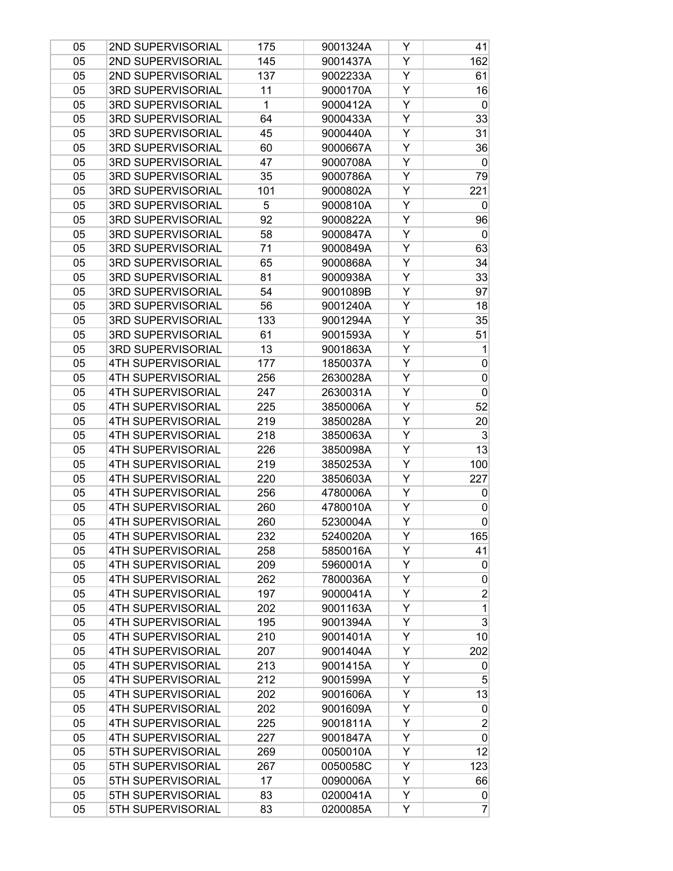| 05 | 2ND SUPERVISORIAL        | 175          | 9001324A | Y | 41                      |
|----|--------------------------|--------------|----------|---|-------------------------|
| 05 | 2ND SUPERVISORIAL        | 145          | 9001437A | Υ | 162                     |
| 05 | 2ND SUPERVISORIAL        | 137          | 9002233A | Y | 61                      |
| 05 | 3RD SUPERVISORIAL        | 11           | 9000170A | Y | 16                      |
| 05 | 3RD SUPERVISORIAL        | $\mathbf{1}$ | 9000412A | Υ | $\boldsymbol{0}$        |
| 05 | 3RD SUPERVISORIAL        | 64           | 9000433A | Υ | 33                      |
| 05 | 3RD SUPERVISORIAL        | 45           | 9000440A | Υ | 31                      |
| 05 | 3RD SUPERVISORIAL        | 60           | 9000667A | Υ | 36                      |
| 05 | 3RD SUPERVISORIAL        | 47           | 9000708A | Y | $\boldsymbol{0}$        |
| 05 | 3RD SUPERVISORIAL        | 35           | 9000786A | Υ | 79                      |
| 05 | <b>3RD SUPERVISORIAL</b> | 101          | 9000802A | Υ | 221                     |
| 05 | 3RD SUPERVISORIAL        | 5            | 9000810A | Υ | $\vert 0 \vert$         |
| 05 | 3RD SUPERVISORIAL        | 92           | 9000822A | Υ | 96                      |
| 05 | 3RD SUPERVISORIAL        | 58           | 9000847A | Y | 0                       |
| 05 | 3RD SUPERVISORIAL        | 71           | 9000849A | Y | 63                      |
| 05 | 3RD SUPERVISORIAL        | 65           | 9000868A | Υ | 34                      |
| 05 | 3RD SUPERVISORIAL        | 81           | 9000938A | Υ | 33                      |
| 05 | 3RD SUPERVISORIAL        | 54           | 9001089B | Υ | 97                      |
| 05 | 3RD SUPERVISORIAL        | 56           | 9001240A | Y | 18                      |
| 05 | 3RD SUPERVISORIAL        | 133          | 9001294A | Y | 35                      |
| 05 | 3RD SUPERVISORIAL        | 61           | 9001593A | Υ | 51                      |
| 05 | 3RD SUPERVISORIAL        | 13           | 9001863A | Υ | 1                       |
| 05 | <b>4TH SUPERVISORIAL</b> | 177          | 1850037A | Υ | $\mathbf 0$             |
| 05 | <b>4TH SUPERVISORIAL</b> | 256          | 2630028A | Y | $\mathbf 0$             |
| 05 | 4TH SUPERVISORIAL        | 247          | 2630031A | Y | 0                       |
| 05 | <b>4TH SUPERVISORIAL</b> | 225          | 3850006A | Y | 52                      |
| 05 | <b>4TH SUPERVISORIAL</b> | 219          | 3850028A | Υ | 20                      |
| 05 | <b>4TH SUPERVISORIAL</b> | 218          | 3850063A | Υ | 3                       |
| 05 | <b>4TH SUPERVISORIAL</b> | 226          | 3850098A | Y | 13                      |
| 05 | <b>4TH SUPERVISORIAL</b> | 219          | 3850253A | Y | 100                     |
| 05 | 4TH SUPERVISORIAL        | 220          | 3850603A | Υ | 227                     |
| 05 | 4TH SUPERVISORIAL        | 256          | 4780006A | Υ | $\overline{0}$          |
| 05 | <b>4TH SUPERVISORIAL</b> | 260          | 4780010A | Υ | $\mathbf 0$             |
| 05 | <b>4TH SUPERVISORIAL</b> | 260          | 5230004A | Υ | $\mathbf 0$             |
| 05 | <b>4TH SUPERVISORIAL</b> | 232          | 5240020A | Y | 165                     |
| 05 | <b>4TH SUPERVISORIAL</b> | 258          | 5850016A | Y | 41                      |
| 05 | 4TH SUPERVISORIAL        | 209          | 5960001A | Y | 0                       |
| 05 | <b>4TH SUPERVISORIAL</b> | 262          | 7800036A | Υ | $\mathbf 0$             |
| 05 | <b>4TH SUPERVISORIAL</b> | 197          | 9000041A | Υ | $\overline{\mathbf{c}}$ |
| 05 | <b>4TH SUPERVISORIAL</b> | 202          | 9001163A | Υ | $\mathbf 1$             |
| 05 | <b>4TH SUPERVISORIAL</b> | 195          | 9001394A | Y | 3                       |
| 05 | 4TH SUPERVISORIAL        | 210          | 9001401A | Y | 10                      |
| 05 | <b>4TH SUPERVISORIAL</b> | 207          | 9001404A | Y | 202                     |
| 05 | <b>4TH SUPERVISORIAL</b> | 213          | 9001415A | Υ | 0                       |
| 05 | <b>4TH SUPERVISORIAL</b> | 212          | 9001599A | Υ | 5                       |
| 05 | <b>4TH SUPERVISORIAL</b> | 202          | 9001606A | Y | 13                      |
| 05 | <b>4TH SUPERVISORIAL</b> | 202          | 9001609A | Y | $\boldsymbol{0}$        |
| 05 | <b>4TH SUPERVISORIAL</b> | 225          | 9001811A | Y | $\overline{2}$          |
| 05 | <b>4TH SUPERVISORIAL</b> | 227          | 9001847A | Y | $\mathbf 0$             |
| 05 | 5TH SUPERVISORIAL        | 269          | 0050010A | Υ | 12                      |
| 05 | 5TH SUPERVISORIAL        | 267          | 0050058C | Υ | 123                     |
| 05 | 5TH SUPERVISORIAL        | 17           | 0090006A | Υ | 66                      |
| 05 | 5TH SUPERVISORIAL        | 83           | 0200041A | Y | $\boldsymbol{0}$        |
| 05 | 5TH SUPERVISORIAL        | 83           | 0200085A | Y | $\overline{7}$          |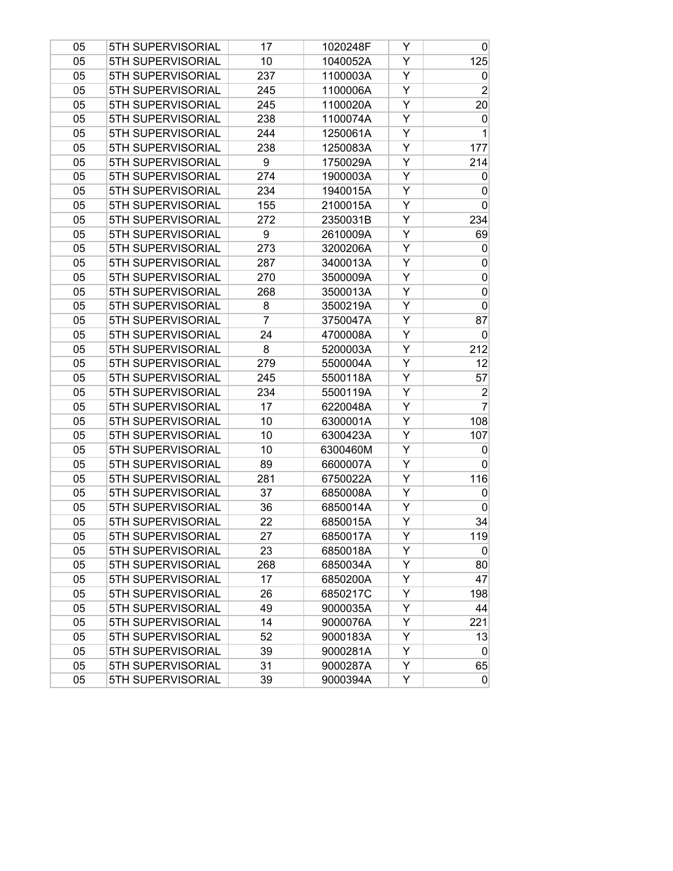| 05 | 5TH SUPERVISORIAL | 17  | 1020248F | Y | $\overline{0}$  |
|----|-------------------|-----|----------|---|-----------------|
| 05 | 5TH SUPERVISORIAL | 10  | 1040052A | Y | 125             |
| 05 | 5TH SUPERVISORIAL | 237 | 1100003A | Y | $\vert 0 \vert$ |
| 05 | 5TH SUPERVISORIAL | 245 | 1100006A | Y | $\overline{2}$  |
| 05 | 5TH SUPERVISORIAL | 245 | 1100020A | Y | 20 <sup>°</sup> |
| 05 | 5TH SUPERVISORIAL | 238 | 1100074A | Υ | $\vert 0 \vert$ |
| 05 | 5TH SUPERVISORIAL | 244 | 1250061A | Y | $\mathbf{1}$    |
| 05 | 5TH SUPERVISORIAL | 238 | 1250083A | Y | 177             |
| 05 | 5TH SUPERVISORIAL | 9   | 1750029A | Y | 214             |
| 05 | 5TH SUPERVISORIAL | 274 | 1900003A | Y | $\overline{0}$  |
| 05 | 5TH SUPERVISORIAL | 234 | 1940015A | Υ | $\overline{0}$  |
| 05 | 5TH SUPERVISORIAL | 155 | 2100015A | Υ | $\overline{0}$  |
| 05 | 5TH SUPERVISORIAL | 272 | 2350031B | Y | 234             |
| 05 | 5TH SUPERVISORIAL | 9   | 2610009A | Υ | 69              |
| 05 | 5TH SUPERVISORIAL | 273 | 3200206A | Y | $\vert 0 \vert$ |
| 05 | 5TH SUPERVISORIAL | 287 | 3400013A | Y | $\overline{0}$  |
| 05 | 5TH SUPERVISORIAL | 270 | 3500009A | Υ | $\overline{0}$  |
| 05 | 5TH SUPERVISORIAL | 268 | 3500013A | Y | $\overline{0}$  |
| 05 | 5TH SUPERVISORIAL | 8   | 3500219A | Y | $\overline{0}$  |
| 05 | 5TH SUPERVISORIAL | 7   | 3750047A | Υ | 87              |
| 05 | 5TH SUPERVISORIAL | 24  | 4700008A | Y | $\overline{0}$  |
| 05 | 5TH SUPERVISORIAL | 8   | 5200003A | Y | 212             |
| 05 | 5TH SUPERVISORIAL | 279 | 5500004A | Υ | 12              |
| 05 | 5TH SUPERVISORIAL | 245 | 5500118A | Υ | 57              |
| 05 | 5TH SUPERVISORIAL | 234 | 5500119A | Y | $\overline{2}$  |
| 05 | 5TH SUPERVISORIAL | 17  | 6220048A | Y | $\overline{7}$  |
| 05 | 5TH SUPERVISORIAL | 10  | 6300001A | Y | 108             |
| 05 | 5TH SUPERVISORIAL | 10  | 6300423A | Υ | 107             |
| 05 | 5TH SUPERVISORIAL | 10  | 6300460M | Y | $\vert 0 \vert$ |
| 05 | 5TH SUPERVISORIAL | 89  | 6600007A | Y | $\overline{0}$  |
| 05 | 5TH SUPERVISORIAL | 281 | 6750022A | Y | 116             |
| 05 | 5TH SUPERVISORIAL | 37  | 6850008A | Y | $\overline{0}$  |
| 05 | 5TH SUPERVISORIAL | 36  | 6850014A | Υ | $\overline{0}$  |
| 05 | 5TH SUPERVISORIAL | 22  | 6850015A | Υ | 34              |
| 05 | 5TH SUPERVISORIAL | 27  | 6850017A | Y | 119             |
| 05 | 5TH SUPERVISORIAL | 23  | 6850018A | Y | $\vert 0 \vert$ |
| 05 | 5TH SUPERVISORIAL | 268 | 6850034A | Y | 80              |
| 05 | 5TH SUPERVISORIAL | 17  | 6850200A | Y | 47              |
| 05 | 5TH SUPERVISORIAL | 26  | 6850217C | Υ | 198             |
| 05 | 5TH SUPERVISORIAL | 49  | 9000035A | Υ | 44              |
| 05 | 5TH SUPERVISORIAL | 14  | 9000076A | Y | 221             |
| 05 | 5TH SUPERVISORIAL | 52  | 9000183A | Y | 13              |
| 05 | 5TH SUPERVISORIAL | 39  | 9000281A | Y | $\overline{0}$  |
| 05 | 5TH SUPERVISORIAL | 31  | 9000287A | Y | 65              |
| 05 | 5TH SUPERVISORIAL | 39  | 9000394A | Υ | $\overline{0}$  |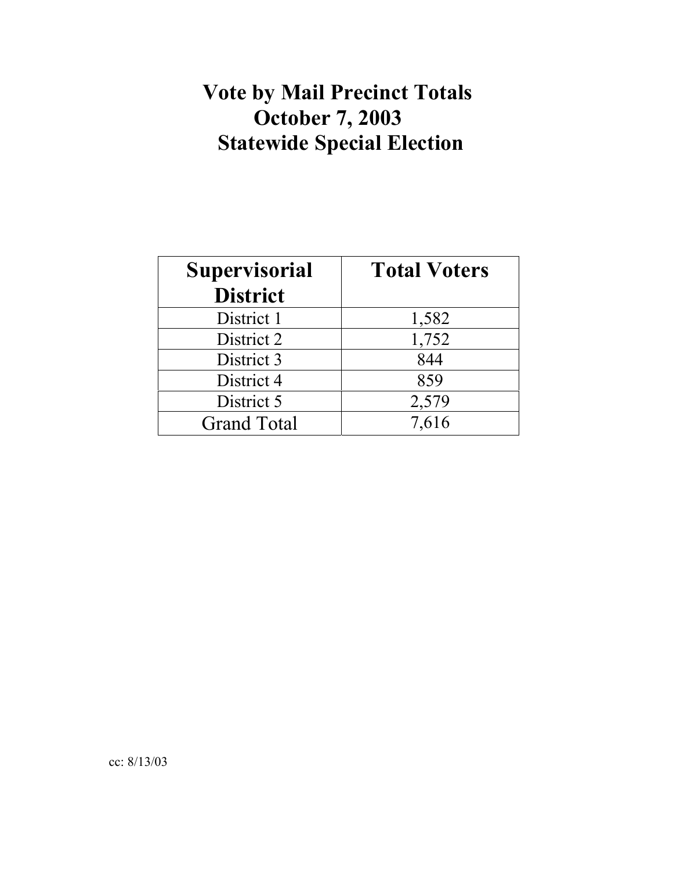## **Vote by Mail Precinct Totals October 7, 2003 Statewide Special Election**

| <b>Supervisorial</b> | <b>Total Voters</b> |
|----------------------|---------------------|
| <b>District</b>      |                     |
| District 1           | 1,582               |
| District 2           | 1,752               |
| District 3           | 844                 |
| District 4           | 859                 |
| District 5           | 2,579               |
| <b>Grand Total</b>   | 7,616               |